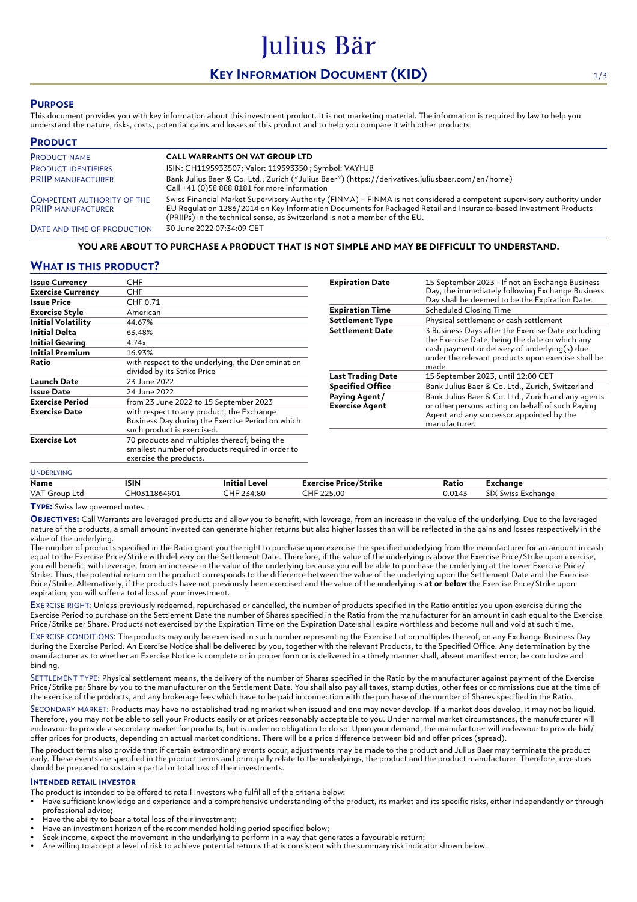# **KEY INFORMATION DOCUMENT (KID)** 1/3

Julius Bär

# **PURPOSE**

This document provides you with key information about this investment product. It is not marketing material. The information is required by law to help you understand the nature, risks, costs, potential gains and losses of this product and to help you compare it with other products.

| <b>PRODUCT</b>                                                 |                                                                                                                                                                                                                                                                                                                          |
|----------------------------------------------------------------|--------------------------------------------------------------------------------------------------------------------------------------------------------------------------------------------------------------------------------------------------------------------------------------------------------------------------|
| <b>PRODUCT NAME</b>                                            | <b>CALL WARRANTS ON VAT GROUP LTD</b>                                                                                                                                                                                                                                                                                    |
| <b>PRODUCT IDENTIFIERS</b>                                     | ISIN: CH1195933507; Valor: 119593350 ; Symbol: VAYHJB                                                                                                                                                                                                                                                                    |
| <b>PRIIP MANUFACTURER</b>                                      | Bank Julius Baer & Co. Ltd., Zurich ("Julius Baer") (https://derivatives.juliusbaer.com/en/home)<br>Call +41 (0)58 888 8181 for more information                                                                                                                                                                         |
| <b>COMPETENT AUTHORITY OF THE</b><br><b>PRIIP MANUFACTURER</b> | Swiss Financial Market Supervisory Authority (FINMA) - FINMA is not considered a competent supervisory authority under<br>EU Requlation 1286/2014 on Key Information Documents for Packaged Retail and Insurance-based Investment Products<br>(PRIIPs) in the technical sense, as Switzerland is not a member of the EU. |
| DATE AND TIME OF PRODUCTION                                    | 30 June 2022 07:34:09 CET                                                                                                                                                                                                                                                                                                |

## **YOU ARE ABOUT TO PURCHASE A PRODUCT THAT IS NOT SIMPLE AND MAY BE DIFFICULT TO UNDERSTAND.**

# **WHAT IS THIS PRODUCT?**

| <b>Issue Currency</b>     | CHF                                                                                                                         |  |
|---------------------------|-----------------------------------------------------------------------------------------------------------------------------|--|
| <b>Exercise Currency</b>  | CHF                                                                                                                         |  |
| <b>Issue Price</b>        | CHF 0.71                                                                                                                    |  |
| <b>Exercise Style</b>     | American                                                                                                                    |  |
| <b>Initial Volatility</b> | 44.67%                                                                                                                      |  |
| Initial Delta             | 63.48%                                                                                                                      |  |
| <b>Initial Gearing</b>    | 4.74x                                                                                                                       |  |
| <b>Initial Premium</b>    | 16.93%                                                                                                                      |  |
| Ratio                     | with respect to the underlying, the Denomination<br>divided by its Strike Price                                             |  |
| Launch Date               | 23 June 2022                                                                                                                |  |
| Issue Date                | 24 June 2022                                                                                                                |  |
| <b>Exercise Period</b>    | from 23 June 2022 to 15 September 2023                                                                                      |  |
| <b>Exercise Date</b>      | with respect to any product, the Exchange<br>Business Day during the Exercise Period on which<br>such product is exercised. |  |
| <b>Exercise Lot</b>       | 70 products and multiples thereof, being the<br>smallest number of products required in order to<br>exercise the products.  |  |
| <b>UNDERLYING</b>         |                                                                                                                             |  |

| <b>Expiration Date</b>                 | 15 September 2023 - If not an Exchange Business<br>Day, the immediately following Exchange Business<br>Day shall be deemed to be the Expiration Date.                                                               |
|----------------------------------------|---------------------------------------------------------------------------------------------------------------------------------------------------------------------------------------------------------------------|
| <b>Expiration Time</b>                 | Scheduled Closing Time                                                                                                                                                                                              |
| <b>Settlement Type</b>                 | Physical settlement or cash settlement                                                                                                                                                                              |
| <b>Settlement Date</b>                 | 3 Business Days after the Exercise Date excluding<br>the Exercise Date, being the date on which any<br>cash payment or delivery of underlying(s) due<br>under the relevant products upon exercise shall be<br>made. |
| <b>Last Trading Date</b>               | 15 September 2023, until 12:00 CET                                                                                                                                                                                  |
| <b>Specified Office</b>                | Bank Julius Baer & Co. Ltd., Zurich, Switzerland                                                                                                                                                                    |
| Paying Agent/<br><b>Exercise Agent</b> | Bank Julius Baer & Co. Ltd., Zurich and any agents<br>or other persons acting on behalf of such Paying<br>Agent and any successor appointed by the<br>manufacturer.                                                 |

| Name                  | ISIN              | Initial Level       | $\overline{\phantom{a}}$<br><b>Exercise Price/Strike</b> | Ratio  | Exchange                       |
|-----------------------|-------------------|---------------------|----------------------------------------------------------|--------|--------------------------------|
| VAT (<br>Group<br>Ltc | 11864903<br>`H∩⊼1 | 271.80<br>НF<br>.co | HF 225.00                                                | 0.0147 | SIX<br>change.<br><b>SMICL</b> |

**TYPE:** Swiss law governed notes.

**OBJECTIVES:** Call Warrants are leveraged products and allow you to benefit, with leverage, from an increase in the value of the underlying. Due to the leveraged nature of the products, a small amount invested can generate higher returns but also higher losses than will be reflected in the gains and losses respectively in the value of the underlying.

The number of products specified in the Ratio grant you the right to purchase upon exercise the specified underlying from the manufacturer for an amount in cash equal to the Exercise Price/Strike with delivery on the Settlement Date. Therefore, if the value of the underlying is above the Exercise Price/Strike upon exercise, you will benefit, with leverage, from an increase in the value of the underlying because you will be able to purchase the underlying at the lower Exercise Price/ Strike. Thus, the potential return on the product corresponds to the difference between the value of the underlying upon the Settlement Date and the Exercise Price/Strike. Alternatively, if the products have not previously been exercised and the value of the underlying is **at or below** the Exercise Price/Strike upon expiration, you will suffer a total loss of your investment.

EXERCISE RIGHT: Unless previously redeemed, repurchased or cancelled, the number of products specified in the Ratio entitles you upon exercise during the Exercise Period to purchase on the Settlement Date the number of Shares specified in the Ratio from the manufacturer for an amount in cash equal to the Exercise Price/Strike per Share. Products not exercised by the Expiration Time on the Expiration Date shall expire worthless and become null and void at such time.

EXERCISE CONDITIONS: The products may only be exercised in such number representing the Exercise Lot or multiples thereof, on any Exchange Business Day during the Exercise Period. An Exercise Notice shall be delivered by you, together with the relevant Products, to the Specified Office. Any determination by the manufacturer as to whether an Exercise Notice is complete or in proper form or is delivered in a timely manner shall, absent manifest error, be conclusive and binding.

SETTLEMENT TYPE: Physical settlement means, the delivery of the number of Shares specified in the Ratio by the manufacturer against payment of the Exercise Price/Strike per Share by you to the manufacturer on the Settlement Date. You shall also pay all taxes, stamp duties, other fees or commissions due at the time of the exercise of the products, and any brokerage fees which have to be paid in connection with the purchase of the number of Shares specified in the Ratio.

SECONDARY MARKET: Products may have no established trading market when issued and one may never develop. If a market does develop, it may not be liquid. Therefore, you may not be able to sell your Products easily or at prices reasonably acceptable to you. Under normal market circumstances, the manufacturer will endeavour to provide a secondary market for products, but is under no obligation to do so. Upon your demand, the manufacturer will endeavour to provide bid/ offer prices for products, depending on actual market conditions. There will be a price difference between bid and offer prices (spread).

The product terms also provide that if certain extraordinary events occur, adjustments may be made to the product and Julius Baer may terminate the product early. These events are specified in the product terms and principally relate to the underlyings, the product and the product manufacturer. Therefore, investors should be prepared to sustain a partial or total loss of their investments.

## **INTENDED RETAIL INVESTOR**

The product is intended to be offered to retail investors who fulfil all of the criteria below:

- Have sufficient knowledge and experience and a comprehensive understanding of the product, its market and its specific risks, either independently or through professional advice;
- Have the ability to bear a total loss of their investment;
- Have an investment horizon of the recommended holding period specified below;
- Seek income, expect the movement in the underlying to perform in a way that generates a favourable return;
- Are willing to accept a level of risk to achieve potential returns that is consistent with the summary risk indicator shown below.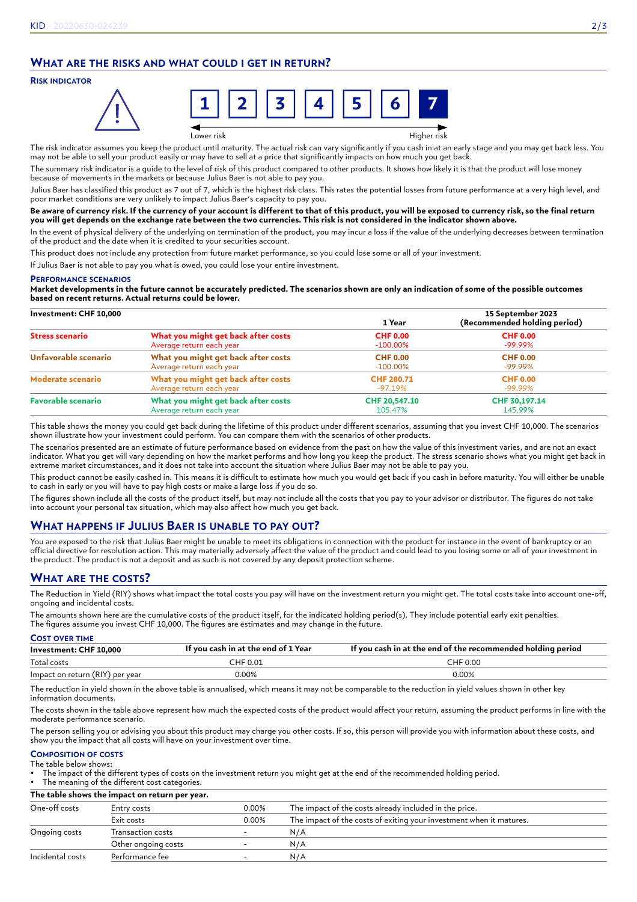# **WHAT ARE THE RISKS AND WHAT COULD I GET IN RETURN?**

## **RISK INDICATOR**



Lower risk Higher risk

The risk indicator assumes you keep the product until maturity. The actual risk can vary significantly if you cash in at an early stage and you may get back less. You may not be able to sell your product easily or may have to sell at a price that significantly impacts on how much you get back.

The summary risk indicator is a guide to the level of risk of this product compared to other products. It shows how likely it is that the product will lose money because of movements in the markets or because Julius Baer is not able to pay you.

Julius Baer has classified this product as 7 out of 7, which is the highest risk class. This rates the potential losses from future performance at a very high level, and poor market conditions are very unlikely to impact Julius Baer's capacity to pay you.

#### **Be aware of currency risk. If the currency of your account is different to that of this product, you will be exposed to currency risk, so the final return you will get depends on the exchange rate between the two currencies. This risk is not considered in the indicator shown above.**

In the event of physical delivery of the underlying on termination of the product, you may incur a loss if the value of the underlying decreases between termination of the product and the date when it is credited to your securities account.

This product does not include any protection from future market performance, so you could lose some or all of your investment.

If Julius Baer is not able to pay you what is owed, you could lose your entire investment.

#### **PERFORMANCE SCENARIOS**

**Market developments in the future cannot be accurately predicted. The scenarios shown are only an indication of some of the possible outcomes based on recent returns. Actual returns could be lower.**

| Investment: CHF 10,000    |                                     | 1 Year            | 15 September 2023<br>(Recommended holding period) |  |
|---------------------------|-------------------------------------|-------------------|---------------------------------------------------|--|
| <b>Stress scenario</b>    | What you might get back after costs | <b>CHF 0.00</b>   | <b>CHF 0.00</b>                                   |  |
|                           | Average return each year            | $-100.00\%$       | $-99.99\%$                                        |  |
| Unfavorable scenario      | What you might get back after costs | <b>CHF 0.00</b>   | <b>CHF 0.00</b>                                   |  |
|                           | Average return each year            | $-100.00\%$       | $-99.99\%$                                        |  |
| Moderate scenario         | What you might get back after costs | <b>CHF 280.71</b> | <b>CHF 0.00</b>                                   |  |
|                           | Average return each year            | -97.19%           | $-99.99\%$                                        |  |
| <b>Favorable scenario</b> | What you might get back after costs | CHF 20,547.10     | CHF 30,197.14                                     |  |
|                           | Average return each year            | 105.47%           | 145.99%                                           |  |

This table shows the money you could get back during the lifetime of this product under different scenarios, assuming that you invest CHF 10,000. The scenarios shown illustrate how your investment could perform. You can compare them with the scenarios of other products.

The scenarios presented are an estimate of future performance based on evidence from the past on how the value of this investment varies, and are not an exact indicator. What you get will vary depending on how the market performs and how long you keep the product. The stress scenario shows what you might get back in extreme market circumstances, and it does not take into account the situation where Julius Baer may not be able to pay you.

This product cannot be easily cashed in. This means it is difficult to estimate how much you would get back if you cash in before maturity. You will either be unable to cash in early or you will have to pay high costs or make a large loss if you do so.

The figures shown include all the costs of the product itself, but may not include all the costs that you pay to your advisor or distributor. The figures do not take into account your personal tax situation, which may also affect how much you get back.

# **WHAT HAPPENS IF JULIUS BAER IS UNABLE TO PAY OUT?**

You are exposed to the risk that Julius Baer might be unable to meet its obligations in connection with the product for instance in the event of bankruptcy or an official directive for resolution action. This may materially adversely affect the value of the product and could lead to you losing some or all of your investment in the product. The product is not a deposit and as such is not covered by any deposit protection scheme.

# **WHAT ARE THE COSTS?**

The Reduction in Yield (RIY) shows what impact the total costs you pay will have on the investment return you might get. The total costs take into account one-off, ongoing and incidental costs.

The amounts shown here are the cumulative costs of the product itself, for the indicated holding period(s). They include potential early exit penalties. The figures assume you invest CHF 10,000. The figures are estimates and may change in the future.

| <b>COST OVER TIME</b>           |                                     |                                                             |
|---------------------------------|-------------------------------------|-------------------------------------------------------------|
| Investment: CHF 10,000          | If you cash in at the end of 1 Year | If you cash in at the end of the recommended holding period |
| Total costs                     | CHF 0.01                            | CHF 0.00                                                    |
| Impact on return (RIY) per year | $0.00\%$                            | $0.00\%$                                                    |

The reduction in yield shown in the above table is annualised, which means it may not be comparable to the reduction in yield values shown in other key information documents.

The costs shown in the table above represent how much the expected costs of the product would affect your return, assuming the product performs in line with the moderate performance scenario.

The person selling you or advising you about this product may charge you other costs. If so, this person will provide you with information about these costs, and show you the impact that all costs will have on your investment over time.

#### **COMPOSITION OF COSTS** The table below shows:

• The impact of the different types of costs on the investment return you might get at the end of the recommended holding period.

The meaning of the different cost categories.

**The table shows the impact on return per year.**

| One-off costs    | Entry costs         | 0.00% | The impact of the costs already included in the price.              |
|------------------|---------------------|-------|---------------------------------------------------------------------|
|                  | Exit costs          | 0.00% | The impact of the costs of exiting your investment when it matures. |
| Ongoing costs    | Transaction costs   |       | N/A                                                                 |
|                  | Other ongoing costs |       | N/A                                                                 |
| Incidental costs | Performance fee     |       | N/A                                                                 |